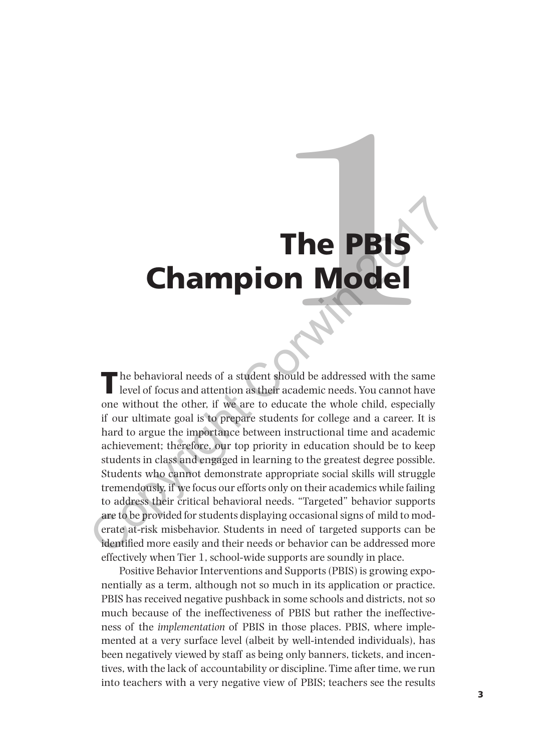# The PBIS<br>
n Model<br>
The PBIS Champion Model

The behavioral needs of a student should be addressed with the same level of focus and attention as their academic needs. You cannot have one without the other, if we are to educate the whole child, especially if our ultimate goal is to prepare students for college and a career. It is hard to argue the importance between instructional time and academic achievement; therefore, our top priority in education should be to keep students in class and engaged in learning to the greatest degree possible. Students who cannot demonstrate appropriate social skills will struggle tremendously, if we focus our efforts only on their academics while failing to address their critical behavioral needs. "Targeted" behavior supports are to be provided for students displaying occasional signs of mild to moderate at-risk misbehavior. Students in need of targeted supports can be identified more easily and their needs or behavior can be addressed more effectively when Tier 1, school-wide supports are soundly in place. **The PBIS**<br>
The behavioral needs of a student should be addressed with the same<br>
level of focus and attention as then academic needs. You cannot have<br>
one without the other, if we are to educate the whole child, especially

Positive Behavior Interventions and Supports (PBIS) is growing exponentially as a term, although not so much in its application or practice. PBIS has received negative pushback in some schools and districts, not so much because of the ineffectiveness of PBIS but rather the ineffectiveness of the *implementation* of PBIS in those places. PBIS, where implemented at a very surface level (albeit by well-intended individuals), has been negatively viewed by staff as being only banners, tickets, and incentives, with the lack of accountability or discipline. Time after time, we run into teachers with a very negative view of PBIS; teachers see the results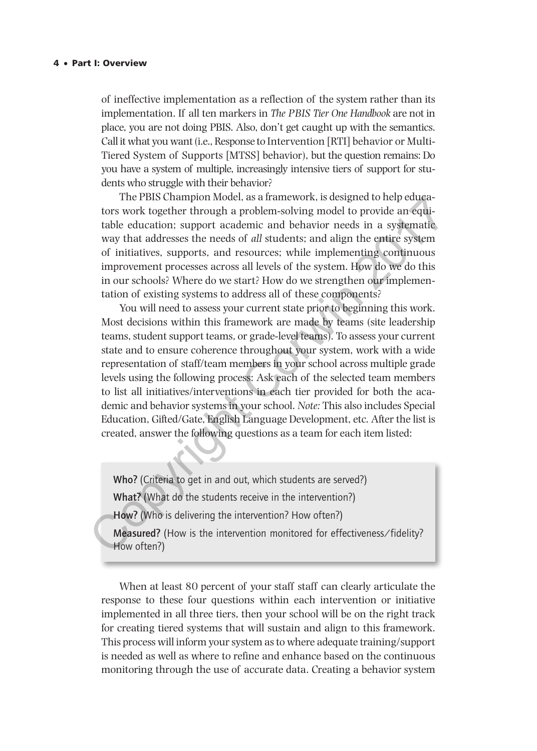## 4 • Part I: Overview

of ineffective implementation as a reflection of the system rather than its implementation. If all ten markers in *The PBIS Tier One Handbook* are not in place, you are not doing PBIS. Also, don't get caught up with the semantics. Call it what you want (i.e., Response to Intervention [RTI] behavior or Multi-Tiered System of Supports [MTSS] behavior), but the question remains: Do you have a system of multiple, increasingly intensive tiers of support for students who struggle with their behavior?

The PBIS Champion Model, as a framework, is designed to help educators work together through a problem-solving model to provide an equitable education; support academic and behavior needs in a systematic way that addresses the needs of *all* students; and align the entire system of initiatives, supports, and resources; while implementing continuous improvement processes across all levels of the system. How do we do this in our schools? Where do we start? How do we strengthen our implementation of existing systems to address all of these components?

You will need to assess your current state prior to beginning this work. Most decisions within this framework are made by teams (site leadership teams, student support teams, or grade-level teams). To assess your current state and to ensure coherence throughout your system, work with a wide representation of staff/team members in your school across multiple grade levels using the following process: Ask each of the selected team members to list all initiatives/interventions in each tier provided for both the academic and behavior systems in your school. *Note:* This also includes Special Education, Gifted/Gate, English Language Development, etc. After the list is created, answer the following questions as a team for each item listed: The Pisis Champion Model, as a ranework, is acespied to neip equal-<br>tors work together through a problem-solving model to provide an equi-<br>table education; support academic and behavior needs in a systematic<br>way that addre

Who? (Criteria to get in and out, which students are served?) What? (What do the students receive in the intervention?) How? (Who is delivering the intervention? How often?)

Measured? (How is the intervention monitored for effectiveness/fidelity? How often?)

When at least 80 percent of your staff staff can clearly articulate the response to these four questions within each intervention or initiative implemented in all three tiers, then your school will be on the right track for creating tiered systems that will sustain and align to this framework. This process will inform your system as to where adequate training/support is needed as well as where to refine and enhance based on the continuous monitoring through the use of accurate data. Creating a behavior system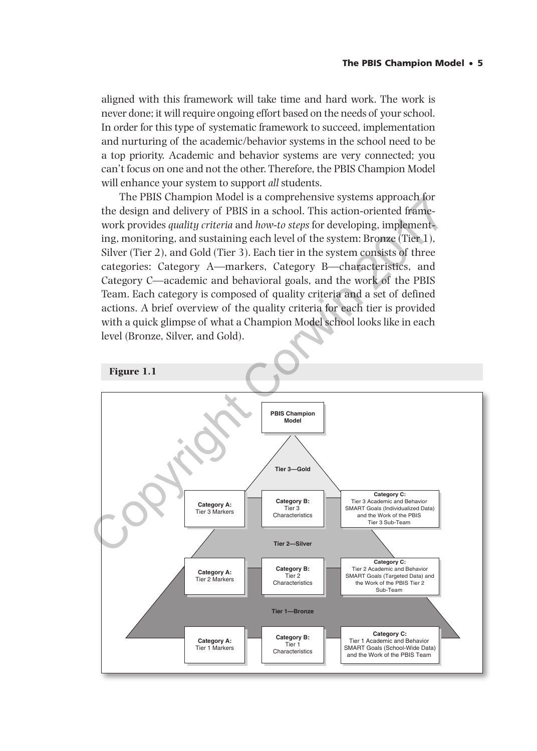aligned with this framework will take time and hard work. The work is never done; it will require ongoing effort based on the needs of your school. In order for this type of systematic framework to succeed, implementation and nurturing of the academic/behavior systems in the school need to be a top priority. Academic and behavior systems are very connected; you can't focus on one and not the other. Therefore, the PBIS Champion Model will enhance your system to support *all* students.

The PBIS Champion Model is a comprehensive systems approach for the design and delivery of PBIS in a school. This action-oriented framework provides *quality criteria* and *how-to steps* for developing, implementing, monitoring, and sustaining each level of the system: Bronze (Tier 1), Silver (Tier 2), and Gold (Tier 3). Each tier in the system consists of three categories: Category A—markers, Category B—characteristics, and Category C—academic and behavioral goals, and the work of the PBIS Team. Each category is composed of quality criteria and a set of defined actions. A brief overview of the quality criteria for each tier is provided with a quick glimpse of what a Champion Model school looks like in each level (Bronze, Silver, and Gold).

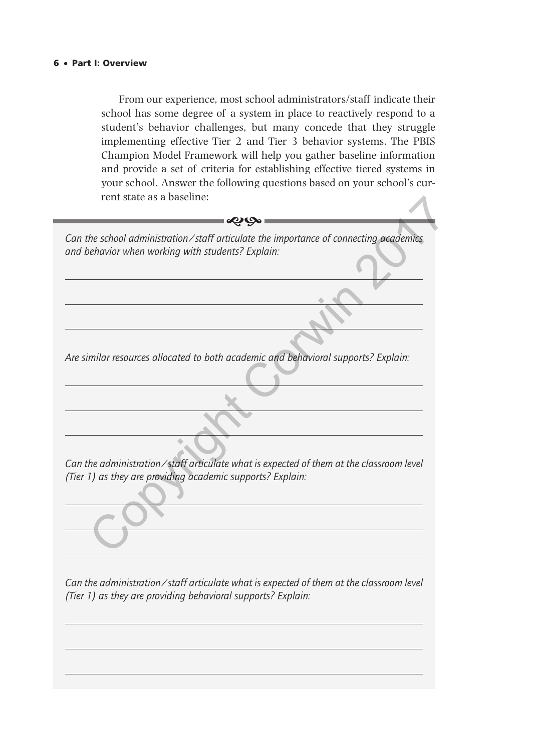# 6 • Part I: Overview

From our experience, most school administrators/staff indicate their school has some degree of a system in place to reactively respond to a student's behavior challenges, but many concede that they struggle implementing effective Tier 2 and Tier 3 behavior systems. The PBIS Champion Model Framework will help you gather baseline information and provide a set of criteria for establishing effective tiered systems in your school. Answer the following questions based on your school's current state as a baseline:

| rent state as a baseline:                                                               |
|-----------------------------------------------------------------------------------------|
|                                                                                         |
| Can the school administration/staff articulate the importance of connecting academics   |
| and behavior when working with students? Explain:                                       |
|                                                                                         |
|                                                                                         |
|                                                                                         |
| Are similar resources allocated to both academic and behavioral supports? Explain:      |
|                                                                                         |
|                                                                                         |
|                                                                                         |
|                                                                                         |
| Can the administration/staff articulate what is expected of them at the classroom level |
| (Tier 1) as they are providing academic supports? Explain:                              |
|                                                                                         |
|                                                                                         |
|                                                                                         |

*Can the administration/staff articulate what is expected of them at the classroom level (Tier 1) as they are providing behavioral supports? Explain:*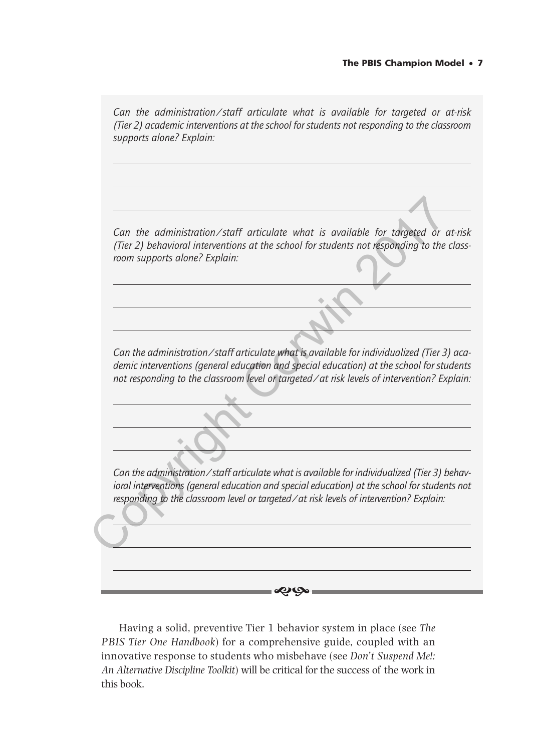# The PBIS Champion Model • 7

*Can the administration/staff articulate what is available for targeted or at-risk (Tier 2) academic interventions at the school for students not responding to the classroom supports alone? Explain: Can the administration/staff articulate what is available for targeted or at-risk (Tier 2) behavioral interventions at the school for students not responding to the classroom supports alone? Explain: Can the administration/staff articulate what is available for individualized (Tier 3) academic interventions (general education and special education) at the school for students not responding to the classroom level or targeted/at risk levels of intervention? Explain: Can the administration/staff articulate what is available for individualized (Tier 3) behav*ioral interventions (general education and special education) at the school for students not *responding to the classroom level or targeted/at risk levels of intervention? Explain:*  $\infty$ Can the administration/staff articulate what is available for targeted or<br>
(Tier 2) behavioral interventions at the school for students not responding to the<br>
noom supports alone? Explain:<br>
<br>
Can the administration/staff a

Having a solid, preventive Tier 1 behavior system in place (see *The PBIS Tier One Handbook*) for a comprehensive guide, coupled with an innovative response to students who misbehave (see *Don't Suspend Me!: An Alternative Discipline Toolkit*) will be critical for the success of the work in this book.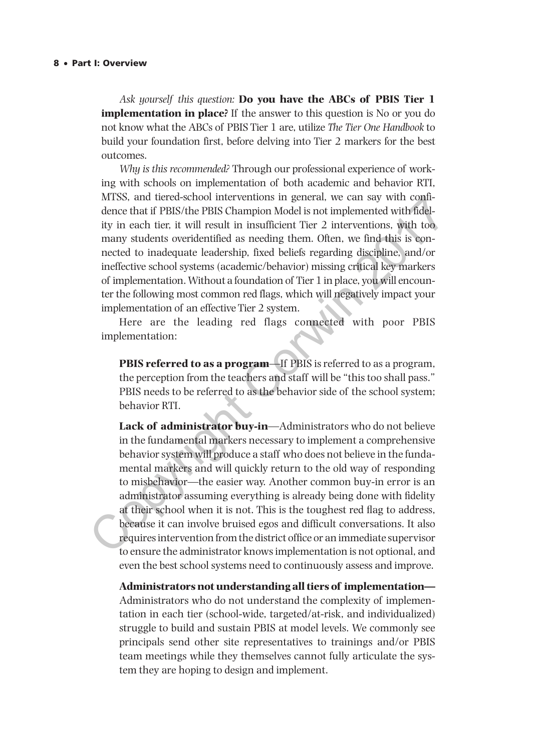## 8 • Part I: Overview

*Ask yourself this question:* **Do you have the ABCs of PBIS Tier 1 implementation in place?** If the answer to this question is No or you do not know what the ABCs of PBIS Tier 1 are, utilize *The Tier One Handbook* to build your foundation first, before delving into Tier 2 markers for the best outcomes.

*Why is this recommended?* Through our professional experience of working with schools on implementation of both academic and behavior RTI, MTSS, and tiered-school interventions in general, we can say with confidence that if PBIS/the PBIS Champion Model is not implemented with fidelity in each tier, it will result in insufficient Tier 2 interventions, with too many students overidentified as needing them. Often, we find this is connected to inadequate leadership, fixed beliefs regarding discipline, and/or ineffective school systems (academic/behavior) missing critical key markers of implementation. Without a foundation of Tier 1 in place, you will encounter the following most common red flags, which will negatively impact your implementation of an effective Tier 2 system.

Here are the leading red flags connected with poor PBIS implementation:

**PBIS referred to as a program—If PBIS** is referred to as a program, the perception from the teachers and staff will be "this too shall pass." PBIS needs to be referred to as the behavior side of the school system; behavior RTI.

**Lack of administrator buy-in**—Administrators who do not believe in the fundamental markers necessary to implement a comprehensive behavior system will produce a staff who does not believe in the fundamental markers and will quickly return to the old way of responding to misbehavior—the easier way. Another common buy-in error is an administrator assuming everything is already being done with fidelity at their school when it is not. This is the toughest red flag to address, because it can involve bruised egos and difficult conversations. It also requires intervention from the district office or an immediate supervisor to ensure the administrator knows implementation is not optional, and even the best school systems need to continuously assess and improve. MISS, and terre-school unterventions in general, we can say with com-<br>thence that if PBIS/the PBIS Champion Model is not implemented with fidel-<br>ity n each tier, it will result in insulficient Tier 2 interventions, with t

**Administrators not understanding all tiers of implementation—** Administrators who do not understand the complexity of implementation in each tier (school-wide, targeted/at-risk, and individualized) struggle to build and sustain PBIS at model levels. We commonly see principals send other site representatives to trainings and/or PBIS team meetings while they themselves cannot fully articulate the system they are hoping to design and implement.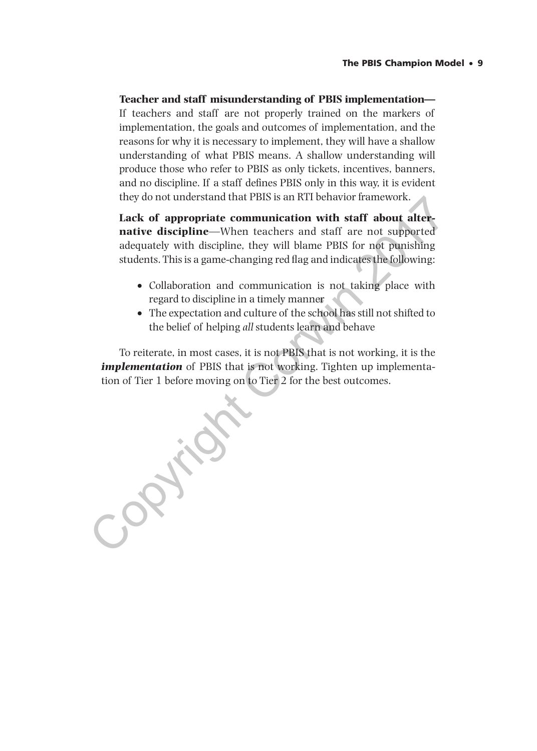**Teacher and staff misunderstanding of PBIS implementation—** If teachers and staff are not properly trained on the markers of implementation, the goals and outcomes of implementation, and the reasons for why it is necessary to implement, they will have a shallow understanding of what PBIS means. A shallow understanding will produce those who refer to PBIS as only tickets, incentives, banners, and no discipline. If a staff defines PBIS only in this way, it is evident they do not understand that PBIS is an RTI behavior framework.

**Lack of appropriate communication with staff about alternative discipline**—When teachers and staff are not supported adequately with discipline, they will blame PBIS for not punishing students. This is a game-changing red flag and indicates the following:

- Collaboration and communication is not taking place with regard to discipline in a timely manner
- The expectation and culture of the school has still not shifted to the belief of helping *all* students learn and behave

To reiterate, in most cases, it is not PBIS that is not working, it is the *implementation* of PBIS that is not working. Tighten up implementation of Tier 1 before moving on to Tier 2 for the best outcomes.

they do not understand that PBIS is an KII behavior framework.<br> **Lack of appropriate communication with staff about alternative discipline**—When teachers and staff are not supported adequately with discipline, they will bl